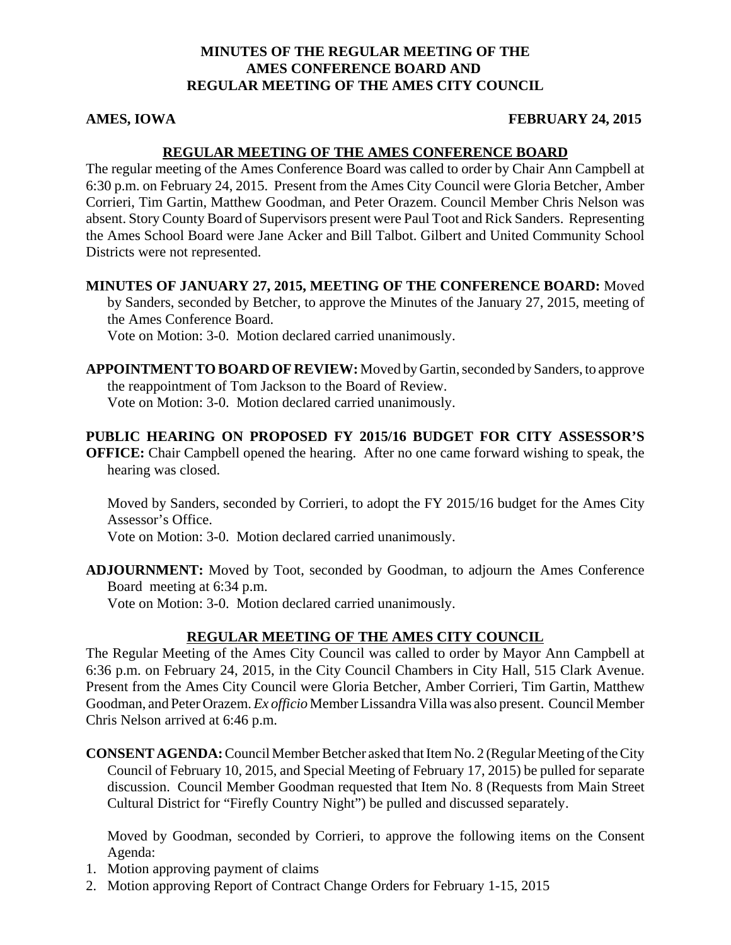## **MINUTES OF THE REGULAR MEETING OF THE AMES CONFERENCE BOARD AND REGULAR MEETING OF THE AMES CITY COUNCIL**

#### **AMES, IOWA FEBRUARY 24, 2015**

## **REGULAR MEETING OF THE AMES CONFERENCE BOARD**

The regular meeting of the Ames Conference Board was called to order by Chair Ann Campbell at 6:30 p.m. on February 24, 2015. Present from the Ames City Council were Gloria Betcher, Amber Corrieri, Tim Gartin, Matthew Goodman, and Peter Orazem. Council Member Chris Nelson was absent. Story County Board of Supervisors present were Paul Toot and Rick Sanders. Representing the Ames School Board were Jane Acker and Bill Talbot. Gilbert and United Community School Districts were not represented.

**MINUTES OF JANUARY 27, 2015, MEETING OF THE CONFERENCE BOARD:** Moved

by Sanders, seconded by Betcher, to approve the Minutes of the January 27, 2015, meeting of the Ames Conference Board.

Vote on Motion: 3-0. Motion declared carried unanimously.

**APPOINTMENT TO BOARD OF REVIEW:** Moved by Gartin, seconded by Sanders, to approve the reappointment of Tom Jackson to the Board of Review. Vote on Motion: 3-0. Motion declared carried unanimously.

**PUBLIC HEARING ON PROPOSED FY 2015/16 BUDGET FOR CITY ASSESSOR'S OFFICE:** Chair Campbell opened the hearing. After no one came forward wishing to speak, the hearing was closed.

Moved by Sanders, seconded by Corrieri, to adopt the FY 2015/16 budget for the Ames City Assessor's Office.

Vote on Motion: 3-0. Motion declared carried unanimously.

**ADJOURNMENT:** Moved by Toot, seconded by Goodman, to adjourn the Ames Conference Board meeting at 6:34 p.m.

Vote on Motion: 3-0. Motion declared carried unanimously.

# **REGULAR MEETING OF THE AMES CITY COUNCIL**

The Regular Meeting of the Ames City Council was called to order by Mayor Ann Campbell at 6:36 p.m. on February 24, 2015, in the City Council Chambers in City Hall, 515 Clark Avenue. Present from the Ames City Council were Gloria Betcher, Amber Corrieri, Tim Gartin, Matthew Goodman, and Peter Orazem. *Ex officio* Member Lissandra Villa was also present. Council Member Chris Nelson arrived at 6:46 p.m.

**CONSENT AGENDA:** Council Member Betcher asked that Item No. 2 (Regular Meeting of the City Council of February 10, 2015, and Special Meeting of February 17, 2015) be pulled for separate discussion. Council Member Goodman requested that Item No. 8 (Requests from Main Street Cultural District for "Firefly Country Night") be pulled and discussed separately.

Moved by Goodman, seconded by Corrieri, to approve the following items on the Consent Agenda:

- 1. Motion approving payment of claims
- 2. Motion approving Report of Contract Change Orders for February 1-15, 2015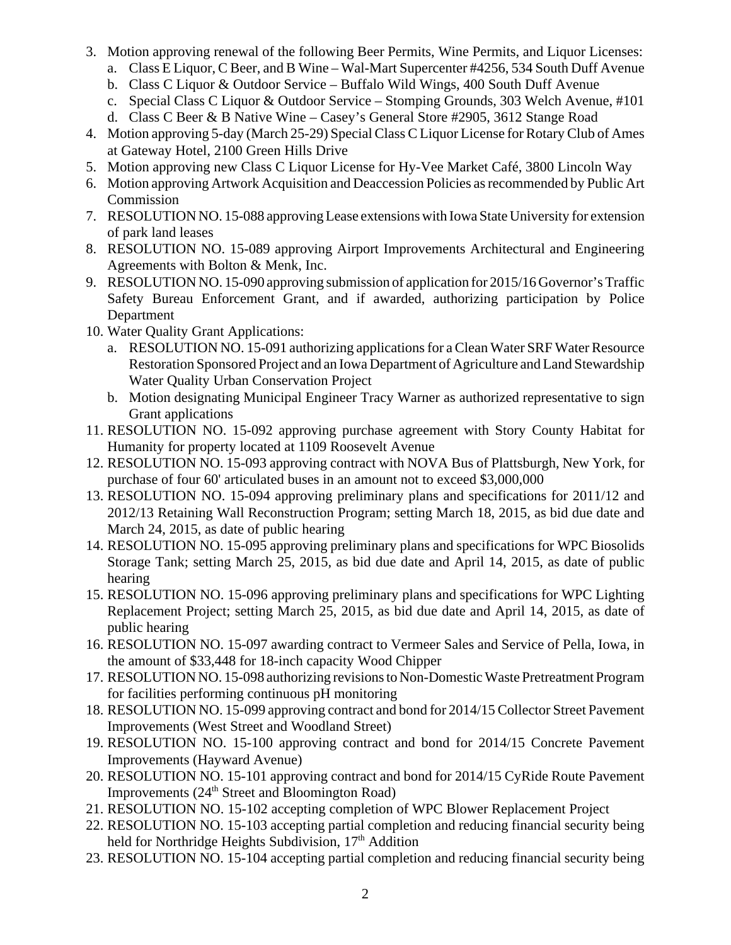- 3. Motion approving renewal of the following Beer Permits, Wine Permits, and Liquor Licenses:
	- a. Class E Liquor, C Beer, and B Wine Wal-Mart Supercenter #4256, 534 South Duff Avenue
	- b. Class C Liquor & Outdoor Service Buffalo Wild Wings, 400 South Duff Avenue
	- c. Special Class C Liquor & Outdoor Service Stomping Grounds, 303 Welch Avenue, #101
	- d. Class C Beer & B Native Wine Casey's General Store #2905, 3612 Stange Road
- 4. Motion approving 5-day (March 25-29) Special Class C Liquor License for Rotary Club of Ames at Gateway Hotel, 2100 Green Hills Drive
- 5. Motion approving new Class C Liquor License for Hy-Vee Market Café, 3800 Lincoln Way
- 6. Motion approving Artwork Acquisition and Deaccession Policies as recommended by Public Art Commission
- 7. RESOLUTION NO. 15-088 approving Lease extensions with Iowa State University for extension of park land leases
- 8. RESOLUTION NO. 15-089 approving Airport Improvements Architectural and Engineering Agreements with Bolton & Menk, Inc.
- 9. RESOLUTION NO. 15-090 approving submission of application for 2015/16 Governor's Traffic Safety Bureau Enforcement Grant, and if awarded, authorizing participation by Police Department
- 10. Water Quality Grant Applications:
	- a. RESOLUTION NO. 15-091 authorizing applications for a Clean Water SRF Water Resource Restoration Sponsored Project and an Iowa Department of Agriculture and Land Stewardship Water Quality Urban Conservation Project
	- b. Motion designating Municipal Engineer Tracy Warner as authorized representative to sign Grant applications
- 11. RESOLUTION NO. 15-092 approving purchase agreement with Story County Habitat for Humanity for property located at 1109 Roosevelt Avenue
- 12. RESOLUTION NO. 15-093 approving contract with NOVA Bus of Plattsburgh, New York, for purchase of four 60' articulated buses in an amount not to exceed \$3,000,000
- 13. RESOLUTION NO. 15-094 approving preliminary plans and specifications for 2011/12 and 2012/13 Retaining Wall Reconstruction Program; setting March 18, 2015, as bid due date and March 24, 2015, as date of public hearing
- 14. RESOLUTION NO. 15-095 approving preliminary plans and specifications for WPC Biosolids Storage Tank; setting March 25, 2015, as bid due date and April 14, 2015, as date of public hearing
- 15. RESOLUTION NO. 15-096 approving preliminary plans and specifications for WPC Lighting Replacement Project; setting March 25, 2015, as bid due date and April 14, 2015, as date of public hearing
- 16. RESOLUTION NO. 15-097 awarding contract to Vermeer Sales and Service of Pella, Iowa, in the amount of \$33,448 for 18-inch capacity Wood Chipper
- 17. RESOLUTION NO. 15-098 authorizing revisions to Non-Domestic Waste Pretreatment Program for facilities performing continuous pH monitoring
- 18. RESOLUTION NO. 15-099 approving contract and bond for 2014/15 Collector Street Pavement Improvements (West Street and Woodland Street)
- 19. RESOLUTION NO. 15-100 approving contract and bond for 2014/15 Concrete Pavement Improvements (Hayward Avenue)
- 20. RESOLUTION NO. 15-101 approving contract and bond for 2014/15 CyRide Route Pavement Improvements  $(24<sup>th</sup> Street and Bloomington Road)$
- 21. RESOLUTION NO. 15-102 accepting completion of WPC Blower Replacement Project
- 22. RESOLUTION NO. 15-103 accepting partial completion and reducing financial security being held for Northridge Heights Subdivision, 17<sup>th</sup> Addition
- 23. RESOLUTION NO. 15-104 accepting partial completion and reducing financial security being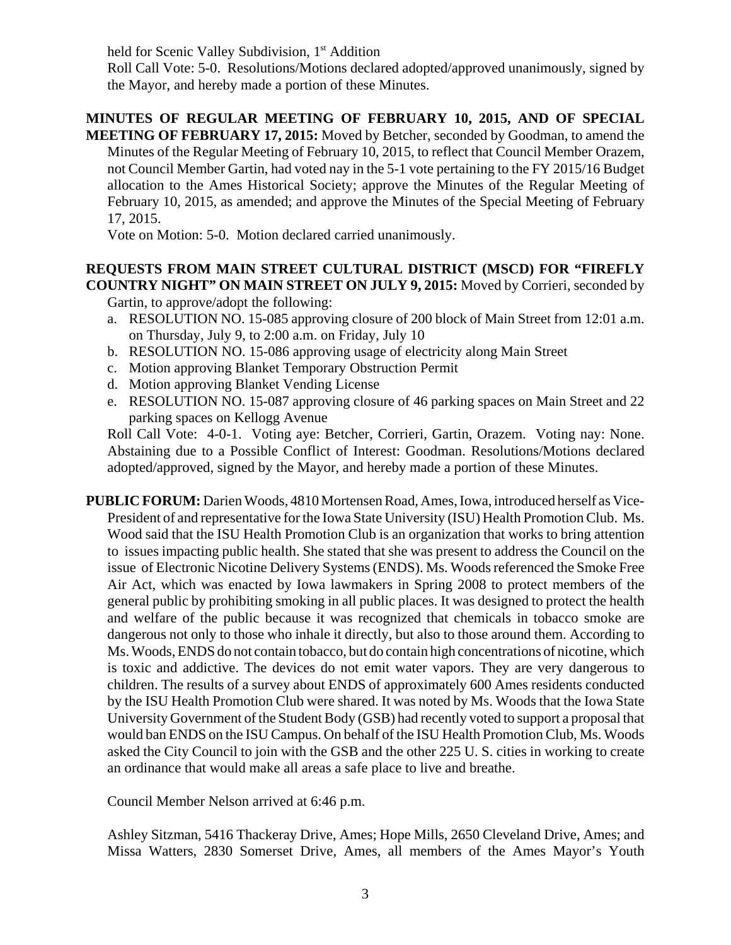held for Scenic Valley Subdivision, 1st Addition

Roll Call Vote: 5-0. Resolutions/Motions declared adopted/approved unanimously, signed by the Mayor, and hereby made a portion of these Minutes.

# **MINUTES OF REGULAR MEETING OF FEBRUARY 10, 2015, AND OF SPECIAL**

**MEETING OF FEBRUARY 17, 2015:** Moved by Betcher, seconded by Goodman, to amend the Minutes of the Regular Meeting of February 10, 2015, to reflect that Council Member Orazem, not Council Member Gartin, had voted nay in the 5-1 vote pertaining to the FY 2015/16 Budget allocation to the Ames Historical Society; approve the Minutes of the Regular Meeting of February 10, 2015, as amended; and approve the Minutes of the Special Meeting of February 17, 2015.

Vote on Motion: 5-0. Motion declared carried unanimously.

# **REQUESTS FROM MAIN STREET CULTURAL DISTRICT (MSCD) FOR "FIREFLY COUNTRY NIGHT" ON MAIN STREET ON JULY 9, 2015:** Moved by Corrieri, seconded by

Gartin, to approve/adopt the following:

- a. RESOLUTION NO. 15-085 approving closure of 200 block of Main Street from 12:01 a.m. on Thursday, July 9, to 2:00 a.m. on Friday, July 10
- b. RESOLUTION NO. 15-086 approving usage of electricity along Main Street
- c. Motion approving Blanket Temporary Obstruction Permit
- d. Motion approving Blanket Vending License
- e. RESOLUTION NO. 15-087 approving closure of 46 parking spaces on Main Street and 22 parking spaces on Kellogg Avenue

Roll Call Vote: 4-0-1. Voting aye: Betcher, Corrieri, Gartin, Orazem. Voting nay: None. Abstaining due to a Possible Conflict of Interest: Goodman. Resolutions/Motions declared adopted/approved, signed by the Mayor, and hereby made a portion of these Minutes.

**PUBLIC FORUM:** Darien Woods, 4810 Mortensen Road, Ames, Iowa, introduced herself as Vice-President of and representative for the Iowa State University (ISU) Health Promotion Club. Ms. Wood said that the ISU Health Promotion Club is an organization that works to bring attention to issues impacting public health. She stated that she was present to address the Council on the issue of Electronic Nicotine Delivery Systems (ENDS). Ms. Woods referenced the Smoke Free Air Act, which was enacted by Iowa lawmakers in Spring 2008 to protect members of the general public by prohibiting smoking in all public places. It was designed to protect the health and welfare of the public because it was recognized that chemicals in tobacco smoke are dangerous not only to those who inhale it directly, but also to those around them. According to Ms. Woods, ENDS do not contain tobacco, but do contain high concentrations of nicotine, which is toxic and addictive. The devices do not emit water vapors. They are very dangerous to children. The results of a survey about ENDS of approximately 600 Ames residents conducted by the ISU Health Promotion Club were shared. It was noted by Ms. Woods that the Iowa State University Government of the Student Body (GSB) had recently voted to support a proposal that would ban ENDS on the ISU Campus. On behalf of the ISU Health Promotion Club, Ms. Woods asked the City Council to join with the GSB and the other 225 U. S. cities in working to create an ordinance that would make all areas a safe place to live and breathe.

Council Member Nelson arrived at 6:46 p.m.

Ashley Sitzman, 5416 Thackeray Drive, Ames; Hope Mills, 2650 Cleveland Drive, Ames; and Missa Watters, 2830 Somerset Drive, Ames, all members of the Ames Mayor's Youth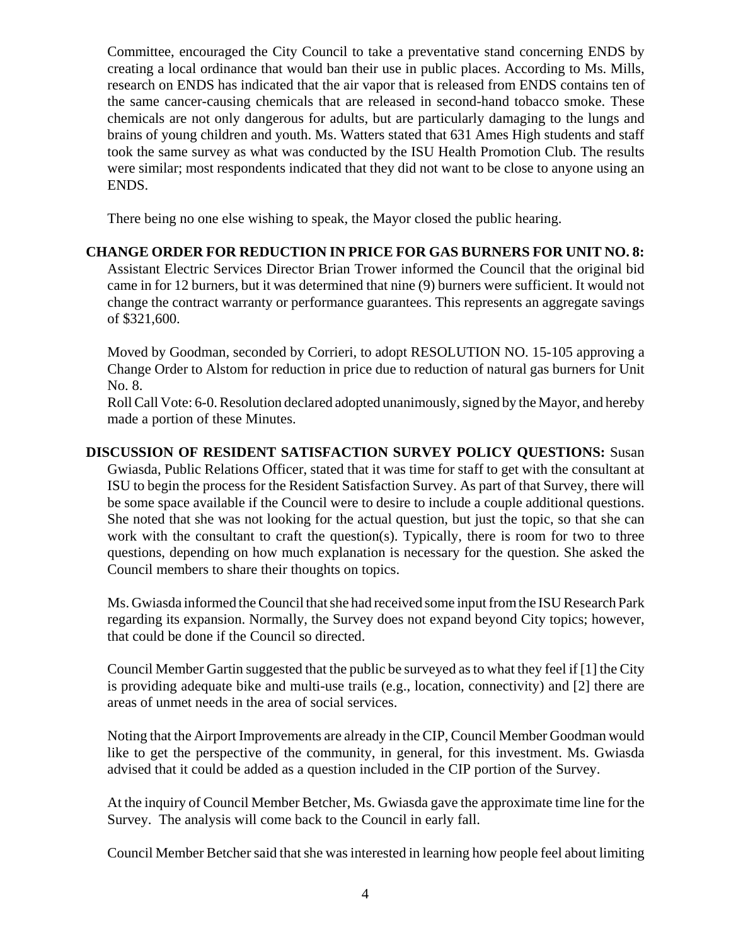Committee, encouraged the City Council to take a preventative stand concerning ENDS by creating a local ordinance that would ban their use in public places. According to Ms. Mills, research on ENDS has indicated that the air vapor that is released from ENDS contains ten of the same cancer-causing chemicals that are released in second-hand tobacco smoke. These chemicals are not only dangerous for adults, but are particularly damaging to the lungs and brains of young children and youth. Ms. Watters stated that 631 Ames High students and staff took the same survey as what was conducted by the ISU Health Promotion Club. The results were similar; most respondents indicated that they did not want to be close to anyone using an ENDS.

There being no one else wishing to speak, the Mayor closed the public hearing.

#### **CHANGE ORDER FOR REDUCTION IN PRICE FOR GAS BURNERS FOR UNIT NO. 8:** Assistant Electric Services Director Brian Trower informed the Council that the original bid came in for 12 burners, but it was determined that nine (9) burners were sufficient. It would not change the contract warranty or performance guarantees. This represents an aggregate savings of \$321,600.

Moved by Goodman, seconded by Corrieri, to adopt RESOLUTION NO. 15-105 approving a Change Order to Alstom for reduction in price due to reduction of natural gas burners for Unit No. 8.

Roll Call Vote: 6-0. Resolution declared adopted unanimously, signed by the Mayor, and hereby made a portion of these Minutes.

**DISCUSSION OF RESIDENT SATISFACTION SURVEY POLICY QUESTIONS:** Susan Gwiasda, Public Relations Officer, stated that it was time for staff to get with the consultant at ISU to begin the process for the Resident Satisfaction Survey. As part of that Survey, there will be some space available if the Council were to desire to include a couple additional questions. She noted that she was not looking for the actual question, but just the topic, so that she can work with the consultant to craft the question(s). Typically, there is room for two to three questions, depending on how much explanation is necessary for the question. She asked the Council members to share their thoughts on topics.

Ms. Gwiasda informed the Council that she had received some input from the ISU Research Park regarding its expansion. Normally, the Survey does not expand beyond City topics; however, that could be done if the Council so directed.

Council Member Gartin suggested that the public be surveyed as to what they feel if [1] the City is providing adequate bike and multi-use trails (e.g., location, connectivity) and [2] there are areas of unmet needs in the area of social services.

Noting that the Airport Improvements are already in the CIP, Council Member Goodman would like to get the perspective of the community, in general, for this investment. Ms. Gwiasda advised that it could be added as a question included in the CIP portion of the Survey.

At the inquiry of Council Member Betcher, Ms. Gwiasda gave the approximate time line for the Survey. The analysis will come back to the Council in early fall.

Council Member Betcher said that she was interested in learning how people feel about limiting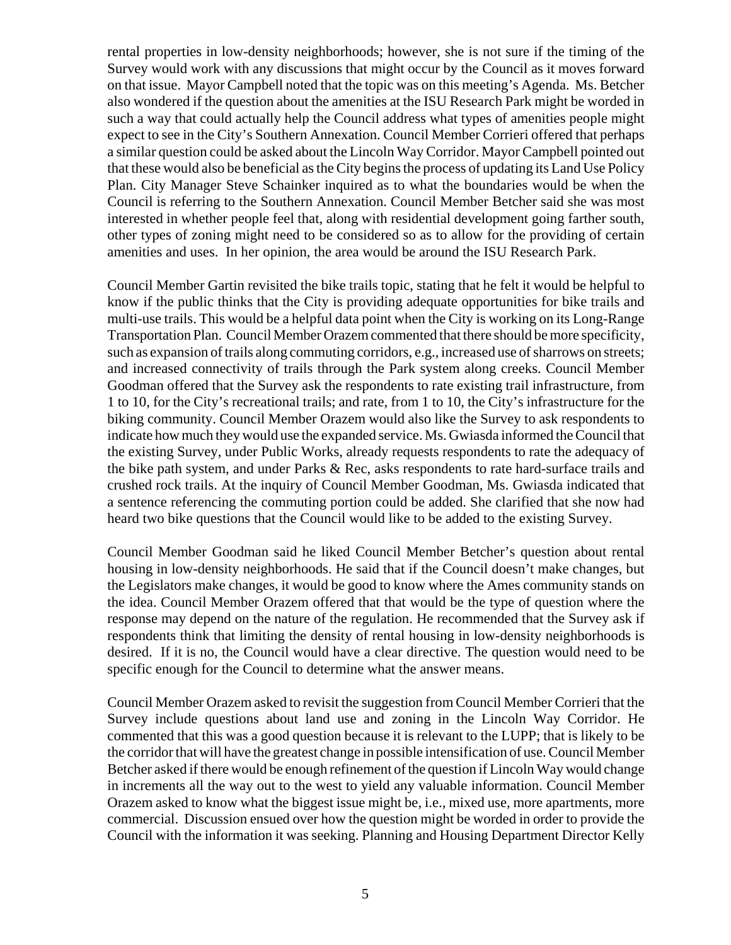rental properties in low-density neighborhoods; however, she is not sure if the timing of the Survey would work with any discussions that might occur by the Council as it moves forward on that issue. Mayor Campbell noted that the topic was on this meeting's Agenda. Ms. Betcher also wondered if the question about the amenities at the ISU Research Park might be worded in such a way that could actually help the Council address what types of amenities people might expect to see in the City's Southern Annexation. Council Member Corrieri offered that perhaps a similar question could be asked about the Lincoln Way Corridor. Mayor Campbell pointed out that these would also be beneficial as the City begins the process of updating its Land Use Policy Plan. City Manager Steve Schainker inquired as to what the boundaries would be when the Council is referring to the Southern Annexation. Council Member Betcher said she was most interested in whether people feel that, along with residential development going farther south, other types of zoning might need to be considered so as to allow for the providing of certain amenities and uses. In her opinion, the area would be around the ISU Research Park.

Council Member Gartin revisited the bike trails topic, stating that he felt it would be helpful to know if the public thinks that the City is providing adequate opportunities for bike trails and multi-use trails. This would be a helpful data point when the City is working on its Long-Range Transportation Plan. Council Member Orazem commented that there should be more specificity, such as expansion of trails along commuting corridors, e.g., increased use of sharrows on streets; and increased connectivity of trails through the Park system along creeks. Council Member Goodman offered that the Survey ask the respondents to rate existing trail infrastructure, from 1 to 10, for the City's recreational trails; and rate, from 1 to 10, the City's infrastructure for the biking community. Council Member Orazem would also like the Survey to ask respondents to indicate how much they would use the expanded service. Ms. Gwiasda informed the Council that the existing Survey, under Public Works, already requests respondents to rate the adequacy of the bike path system, and under Parks & Rec, asks respondents to rate hard-surface trails and crushed rock trails. At the inquiry of Council Member Goodman, Ms. Gwiasda indicated that a sentence referencing the commuting portion could be added. She clarified that she now had heard two bike questions that the Council would like to be added to the existing Survey.

Council Member Goodman said he liked Council Member Betcher's question about rental housing in low-density neighborhoods. He said that if the Council doesn't make changes, but the Legislators make changes, it would be good to know where the Ames community stands on the idea. Council Member Orazem offered that that would be the type of question where the response may depend on the nature of the regulation. He recommended that the Survey ask if respondents think that limiting the density of rental housing in low-density neighborhoods is desired. If it is no, the Council would have a clear directive. The question would need to be specific enough for the Council to determine what the answer means.

Council Member Orazem asked to revisit the suggestion from Council Member Corrieri that the Survey include questions about land use and zoning in the Lincoln Way Corridor. He commented that this was a good question because it is relevant to the LUPP; that is likely to be the corridor that will have the greatest change in possible intensification of use. Council Member Betcher asked if there would be enough refinement of the question if Lincoln Way would change in increments all the way out to the west to yield any valuable information. Council Member Orazem asked to know what the biggest issue might be, i.e., mixed use, more apartments, more commercial. Discussion ensued over how the question might be worded in order to provide the Council with the information it was seeking. Planning and Housing Department Director Kelly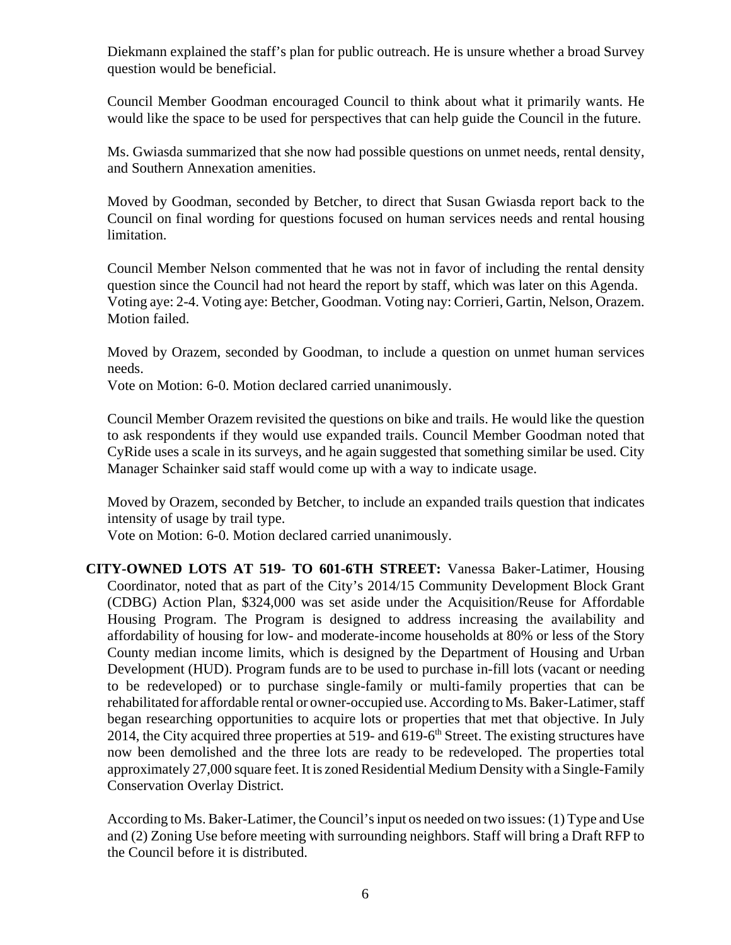Diekmann explained the staff's plan for public outreach. He is unsure whether a broad Survey question would be beneficial.

Council Member Goodman encouraged Council to think about what it primarily wants. He would like the space to be used for perspectives that can help guide the Council in the future.

Ms. Gwiasda summarized that she now had possible questions on unmet needs, rental density, and Southern Annexation amenities.

Moved by Goodman, seconded by Betcher, to direct that Susan Gwiasda report back to the Council on final wording for questions focused on human services needs and rental housing limitation.

Council Member Nelson commented that he was not in favor of including the rental density question since the Council had not heard the report by staff, which was later on this Agenda. Voting aye: 2-4. Voting aye: Betcher, Goodman. Voting nay: Corrieri, Gartin, Nelson, Orazem. Motion failed.

Moved by Orazem, seconded by Goodman, to include a question on unmet human services needs.

Vote on Motion: 6-0. Motion declared carried unanimously.

Council Member Orazem revisited the questions on bike and trails. He would like the question to ask respondents if they would use expanded trails. Council Member Goodman noted that CyRide uses a scale in its surveys, and he again suggested that something similar be used. City Manager Schainker said staff would come up with a way to indicate usage.

Moved by Orazem, seconded by Betcher, to include an expanded trails question that indicates intensity of usage by trail type.

Vote on Motion: 6-0. Motion declared carried unanimously.

**CITY-OWNED LOTS AT 519- TO 601-6TH STREET:** Vanessa Baker-Latimer, Housing Coordinator, noted that as part of the City's 2014/15 Community Development Block Grant (CDBG) Action Plan, \$324,000 was set aside under the Acquisition/Reuse for Affordable Housing Program. The Program is designed to address increasing the availability and affordability of housing for low- and moderate-income households at 80% or less of the Story County median income limits, which is designed by the Department of Housing and Urban Development (HUD). Program funds are to be used to purchase in-fill lots (vacant or needing to be redeveloped) or to purchase single-family or multi-family properties that can be rehabilitated for affordable rental or owner-occupied use. According to Ms. Baker-Latimer, staff began researching opportunities to acquire lots or properties that met that objective. In July 2014, the City acquired three properties at 519- and  $619-6<sup>th</sup>$  Street. The existing structures have now been demolished and the three lots are ready to be redeveloped. The properties total approximately 27,000 square feet. It is zoned Residential Medium Density with a Single-Family Conservation Overlay District.

According to Ms. Baker-Latimer, the Council's input os needed on two issues: (1) Type and Use and (2) Zoning Use before meeting with surrounding neighbors. Staff will bring a Draft RFP to the Council before it is distributed.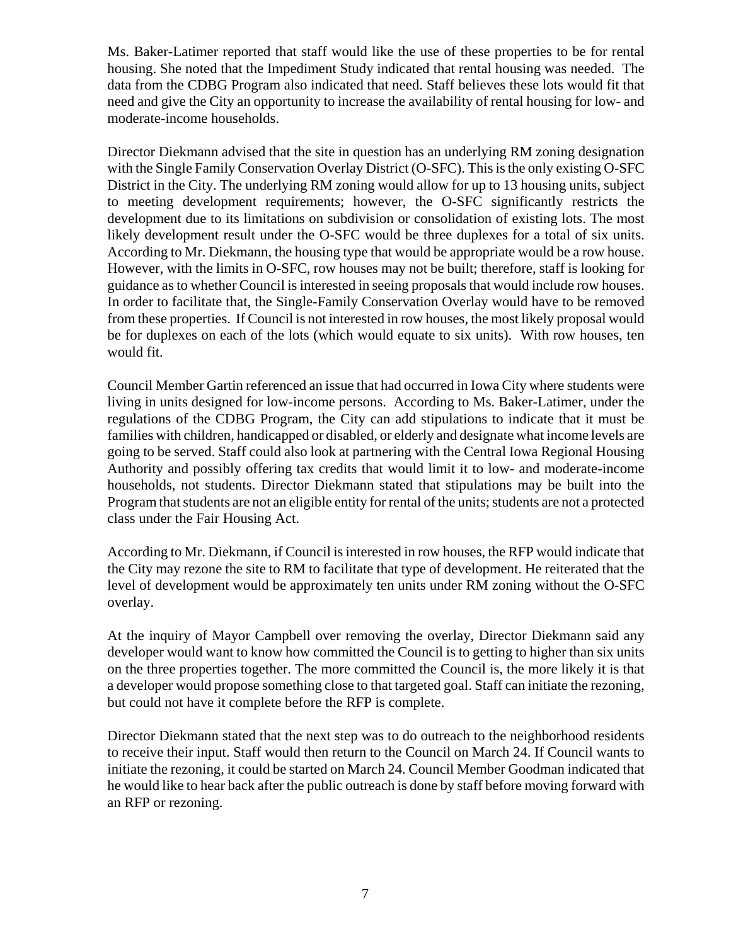Ms. Baker-Latimer reported that staff would like the use of these properties to be for rental housing. She noted that the Impediment Study indicated that rental housing was needed. The data from the CDBG Program also indicated that need. Staff believes these lots would fit that need and give the City an opportunity to increase the availability of rental housing for low- and moderate-income households.

Director Diekmann advised that the site in question has an underlying RM zoning designation with the Single Family Conservation Overlay District (O-SFC). This is the only existing O-SFC District in the City. The underlying RM zoning would allow for up to 13 housing units, subject to meeting development requirements; however, the O-SFC significantly restricts the development due to its limitations on subdivision or consolidation of existing lots. The most likely development result under the O-SFC would be three duplexes for a total of six units. According to Mr. Diekmann, the housing type that would be appropriate would be a row house. However, with the limits in O-SFC, row houses may not be built; therefore, staff is looking for guidance as to whether Council is interested in seeing proposals that would include row houses. In order to facilitate that, the Single-Family Conservation Overlay would have to be removed from these properties. If Council is not interested in row houses, the most likely proposal would be for duplexes on each of the lots (which would equate to six units). With row houses, ten would fit.

Council Member Gartin referenced an issue that had occurred in Iowa City where students were living in units designed for low-income persons. According to Ms. Baker-Latimer, under the regulations of the CDBG Program, the City can add stipulations to indicate that it must be families with children, handicapped or disabled, or elderly and designate what income levels are going to be served. Staff could also look at partnering with the Central Iowa Regional Housing Authority and possibly offering tax credits that would limit it to low- and moderate-income households, not students. Director Diekmann stated that stipulations may be built into the Program that students are not an eligible entity for rental of the units; students are not a protected class under the Fair Housing Act.

According to Mr. Diekmann, if Council is interested in row houses, the RFP would indicate that the City may rezone the site to RM to facilitate that type of development. He reiterated that the level of development would be approximately ten units under RM zoning without the O-SFC overlay.

At the inquiry of Mayor Campbell over removing the overlay, Director Diekmann said any developer would want to know how committed the Council is to getting to higher than six units on the three properties together. The more committed the Council is, the more likely it is that a developer would propose something close to that targeted goal. Staff can initiate the rezoning, but could not have it complete before the RFP is complete.

Director Diekmann stated that the next step was to do outreach to the neighborhood residents to receive their input. Staff would then return to the Council on March 24. If Council wants to initiate the rezoning, it could be started on March 24. Council Member Goodman indicated that he would like to hear back after the public outreach is done by staff before moving forward with an RFP or rezoning.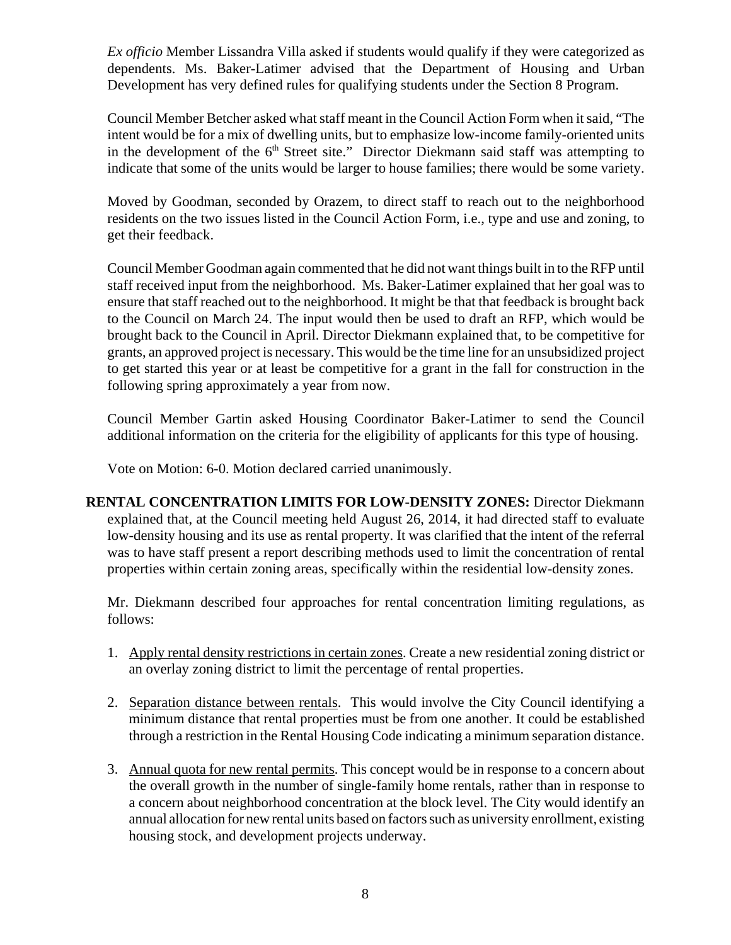*Ex officio* Member Lissandra Villa asked if students would qualify if they were categorized as dependents. Ms. Baker-Latimer advised that the Department of Housing and Urban Development has very defined rules for qualifying students under the Section 8 Program.

Council Member Betcher asked what staff meant in the Council Action Form when it said, "The intent would be for a mix of dwelling units, but to emphasize low-income family-oriented units in the development of the 6<sup>th</sup> Street site." Director Diekmann said staff was attempting to indicate that some of the units would be larger to house families; there would be some variety.

Moved by Goodman, seconded by Orazem, to direct staff to reach out to the neighborhood residents on the two issues listed in the Council Action Form, i.e., type and use and zoning, to get their feedback.

Council Member Goodman again commented that he did not want things built in to the RFP until staff received input from the neighborhood. Ms. Baker-Latimer explained that her goal was to ensure that staff reached out to the neighborhood. It might be that that feedback is brought back to the Council on March 24. The input would then be used to draft an RFP, which would be brought back to the Council in April. Director Diekmann explained that, to be competitive for grants, an approved project is necessary. This would be the time line for an unsubsidized project to get started this year or at least be competitive for a grant in the fall for construction in the following spring approximately a year from now.

Council Member Gartin asked Housing Coordinator Baker-Latimer to send the Council additional information on the criteria for the eligibility of applicants for this type of housing.

Vote on Motion: 6-0. Motion declared carried unanimously.

**RENTAL CONCENTRATION LIMITS FOR LOW-DENSITY ZONES:** Director Diekmann explained that, at the Council meeting held August 26, 2014, it had directed staff to evaluate low-density housing and its use as rental property. It was clarified that the intent of the referral was to have staff present a report describing methods used to limit the concentration of rental properties within certain zoning areas, specifically within the residential low-density zones.

Mr. Diekmann described four approaches for rental concentration limiting regulations, as follows:

- 1. Apply rental density restrictions in certain zones. Create a new residential zoning district or an overlay zoning district to limit the percentage of rental properties.
- 2. Separation distance between rentals. This would involve the City Council identifying a minimum distance that rental properties must be from one another. It could be established through a restriction in the Rental Housing Code indicating a minimum separation distance.
- 3. Annual quota for new rental permits. This concept would be in response to a concern about the overall growth in the number of single-family home rentals, rather than in response to a concern about neighborhood concentration at the block level. The City would identify an annual allocation for new rental units based on factors such as university enrollment, existing housing stock, and development projects underway.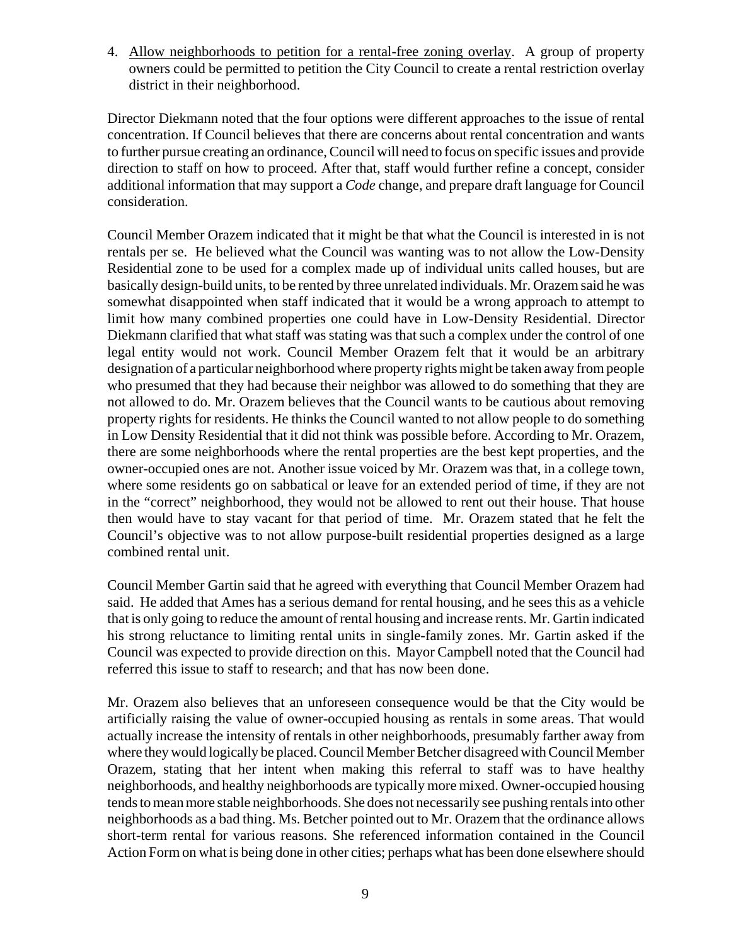4. Allow neighborhoods to petition for a rental-free zoning overlay. A group of property owners could be permitted to petition the City Council to create a rental restriction overlay district in their neighborhood.

Director Diekmann noted that the four options were different approaches to the issue of rental concentration. If Council believes that there are concerns about rental concentration and wants to further pursue creating an ordinance, Council will need to focus on specific issues and provide direction to staff on how to proceed. After that, staff would further refine a concept, consider additional information that may support a *Code* change, and prepare draft language for Council consideration.

Council Member Orazem indicated that it might be that what the Council is interested in is not rentals per se. He believed what the Council was wanting was to not allow the Low-Density Residential zone to be used for a complex made up of individual units called houses, but are basically design-build units, to be rented by three unrelated individuals. Mr. Orazem said he was somewhat disappointed when staff indicated that it would be a wrong approach to attempt to limit how many combined properties one could have in Low-Density Residential. Director Diekmann clarified that what staff was stating was that such a complex under the control of one legal entity would not work. Council Member Orazem felt that it would be an arbitrary designation of a particular neighborhood where property rights might be taken away from people who presumed that they had because their neighbor was allowed to do something that they are not allowed to do. Mr. Orazem believes that the Council wants to be cautious about removing property rights for residents. He thinks the Council wanted to not allow people to do something in Low Density Residential that it did not think was possible before. According to Mr. Orazem, there are some neighborhoods where the rental properties are the best kept properties, and the owner-occupied ones are not. Another issue voiced by Mr. Orazem was that, in a college town, where some residents go on sabbatical or leave for an extended period of time, if they are not in the "correct" neighborhood, they would not be allowed to rent out their house. That house then would have to stay vacant for that period of time. Mr. Orazem stated that he felt the Council's objective was to not allow purpose-built residential properties designed as a large combined rental unit.

Council Member Gartin said that he agreed with everything that Council Member Orazem had said. He added that Ames has a serious demand for rental housing, and he sees this as a vehicle that is only going to reduce the amount of rental housing and increase rents. Mr. Gartin indicated his strong reluctance to limiting rental units in single-family zones. Mr. Gartin asked if the Council was expected to provide direction on this. Mayor Campbell noted that the Council had referred this issue to staff to research; and that has now been done.

Mr. Orazem also believes that an unforeseen consequence would be that the City would be artificially raising the value of owner-occupied housing as rentals in some areas. That would actually increase the intensity of rentals in other neighborhoods, presumably farther away from where they would logically be placed. Council Member Betcher disagreed with Council Member Orazem, stating that her intent when making this referral to staff was to have healthy neighborhoods, and healthy neighborhoods are typically more mixed. Owner-occupied housing tends to mean more stable neighborhoods. She does not necessarily see pushing rentals into other neighborhoods as a bad thing. Ms. Betcher pointed out to Mr. Orazem that the ordinance allows short-term rental for various reasons. She referenced information contained in the Council Action Form on what is being done in other cities; perhaps what has been done elsewhere should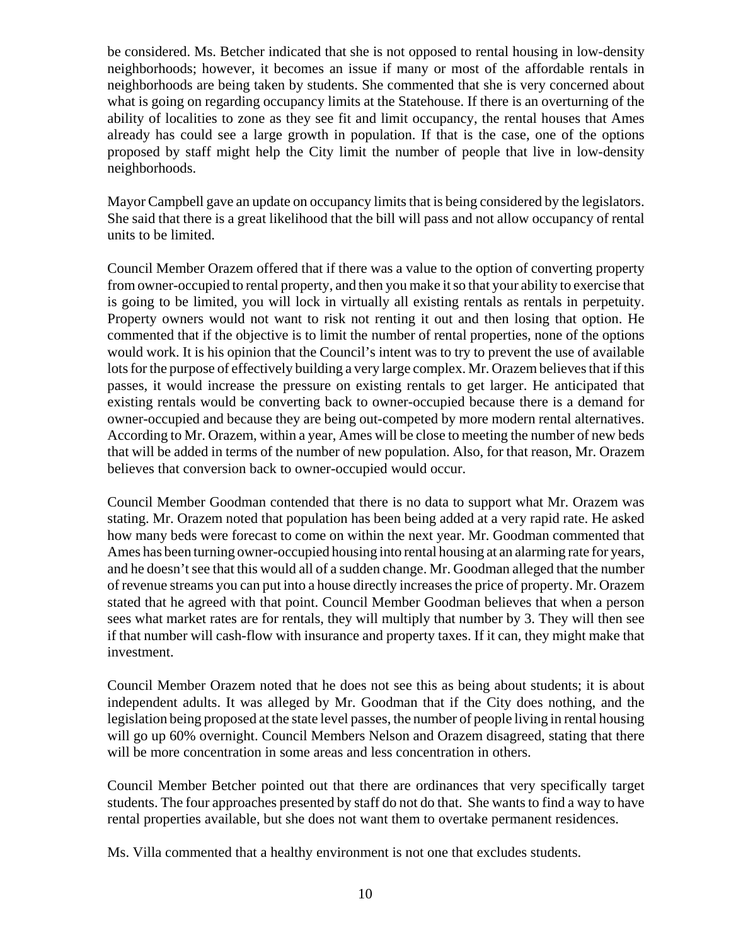be considered. Ms. Betcher indicated that she is not opposed to rental housing in low-density neighborhoods; however, it becomes an issue if many or most of the affordable rentals in neighborhoods are being taken by students. She commented that she is very concerned about what is going on regarding occupancy limits at the Statehouse. If there is an overturning of the ability of localities to zone as they see fit and limit occupancy, the rental houses that Ames already has could see a large growth in population. If that is the case, one of the options proposed by staff might help the City limit the number of people that live in low-density neighborhoods.

Mayor Campbell gave an update on occupancy limits that is being considered by the legislators. She said that there is a great likelihood that the bill will pass and not allow occupancy of rental units to be limited.

Council Member Orazem offered that if there was a value to the option of converting property from owner-occupied to rental property, and then you make it so that your ability to exercise that is going to be limited, you will lock in virtually all existing rentals as rentals in perpetuity. Property owners would not want to risk not renting it out and then losing that option. He commented that if the objective is to limit the number of rental properties, none of the options would work. It is his opinion that the Council's intent was to try to prevent the use of available lots for the purpose of effectively building a very large complex. Mr. Orazem believes that if this passes, it would increase the pressure on existing rentals to get larger. He anticipated that existing rentals would be converting back to owner-occupied because there is a demand for owner-occupied and because they are being out-competed by more modern rental alternatives. According to Mr. Orazem, within a year, Ames will be close to meeting the number of new beds that will be added in terms of the number of new population. Also, for that reason, Mr. Orazem believes that conversion back to owner-occupied would occur.

Council Member Goodman contended that there is no data to support what Mr. Orazem was stating. Mr. Orazem noted that population has been being added at a very rapid rate. He asked how many beds were forecast to come on within the next year. Mr. Goodman commented that Ames has been turning owner-occupied housing into rental housing at an alarming rate for years, and he doesn't see that this would all of a sudden change. Mr. Goodman alleged that the number of revenue streams you can put into a house directly increases the price of property. Mr. Orazem stated that he agreed with that point. Council Member Goodman believes that when a person sees what market rates are for rentals, they will multiply that number by 3. They will then see if that number will cash-flow with insurance and property taxes. If it can, they might make that investment.

Council Member Orazem noted that he does not see this as being about students; it is about independent adults. It was alleged by Mr. Goodman that if the City does nothing, and the legislation being proposed at the state level passes, the number of people living in rental housing will go up 60% overnight. Council Members Nelson and Orazem disagreed, stating that there will be more concentration in some areas and less concentration in others.

Council Member Betcher pointed out that there are ordinances that very specifically target students. The four approaches presented by staff do not do that. She wants to find a way to have rental properties available, but she does not want them to overtake permanent residences.

Ms. Villa commented that a healthy environment is not one that excludes students.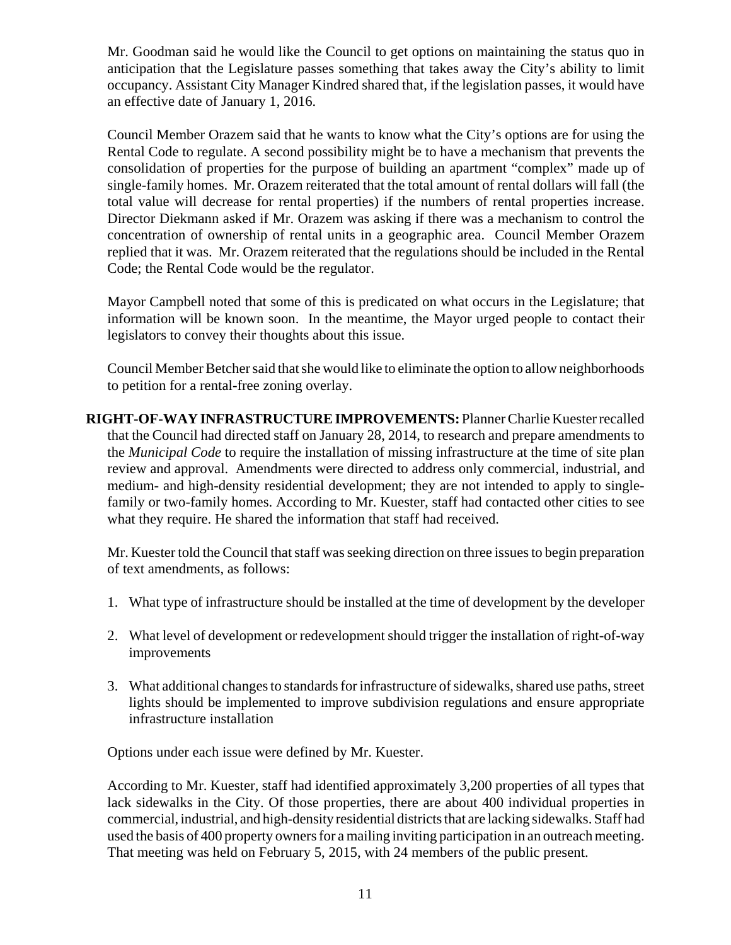Mr. Goodman said he would like the Council to get options on maintaining the status quo in anticipation that the Legislature passes something that takes away the City's ability to limit occupancy. Assistant City Manager Kindred shared that, if the legislation passes, it would have an effective date of January 1, 2016.

Council Member Orazem said that he wants to know what the City's options are for using the Rental Code to regulate. A second possibility might be to have a mechanism that prevents the consolidation of properties for the purpose of building an apartment "complex" made up of single-family homes. Mr. Orazem reiterated that the total amount of rental dollars will fall (the total value will decrease for rental properties) if the numbers of rental properties increase. Director Diekmann asked if Mr. Orazem was asking if there was a mechanism to control the concentration of ownership of rental units in a geographic area. Council Member Orazem replied that it was. Mr. Orazem reiterated that the regulations should be included in the Rental Code; the Rental Code would be the regulator.

Mayor Campbell noted that some of this is predicated on what occurs in the Legislature; that information will be known soon. In the meantime, the Mayor urged people to contact their legislators to convey their thoughts about this issue.

Council Member Betcher said that she would like to eliminate the option to allow neighborhoods to petition for a rental-free zoning overlay.

**RIGHT-OF-WAY INFRASTRUCTURE IMPROVEMENTS:** Planner Charlie Kuester recalled that the Council had directed staff on January 28, 2014, to research and prepare amendments to the *Municipal Code* to require the installation of missing infrastructure at the time of site plan review and approval. Amendments were directed to address only commercial, industrial, and medium- and high-density residential development; they are not intended to apply to singlefamily or two-family homes. According to Mr. Kuester, staff had contacted other cities to see what they require. He shared the information that staff had received.

Mr. Kuester told the Council that staff was seeking direction on three issues to begin preparation of text amendments, as follows:

- 1. What type of infrastructure should be installed at the time of development by the developer
- 2. What level of development or redevelopment should trigger the installation of right-of-way improvements
- 3. What additional changes to standards for infrastructure of sidewalks, shared use paths, street lights should be implemented to improve subdivision regulations and ensure appropriate infrastructure installation

Options under each issue were defined by Mr. Kuester.

According to Mr. Kuester, staff had identified approximately 3,200 properties of all types that lack sidewalks in the City. Of those properties, there are about 400 individual properties in commercial, industrial, and high-density residential districts that are lacking sidewalks. Staff had used the basis of 400 property owners for a mailing inviting participation in an outreach meeting. That meeting was held on February 5, 2015, with 24 members of the public present.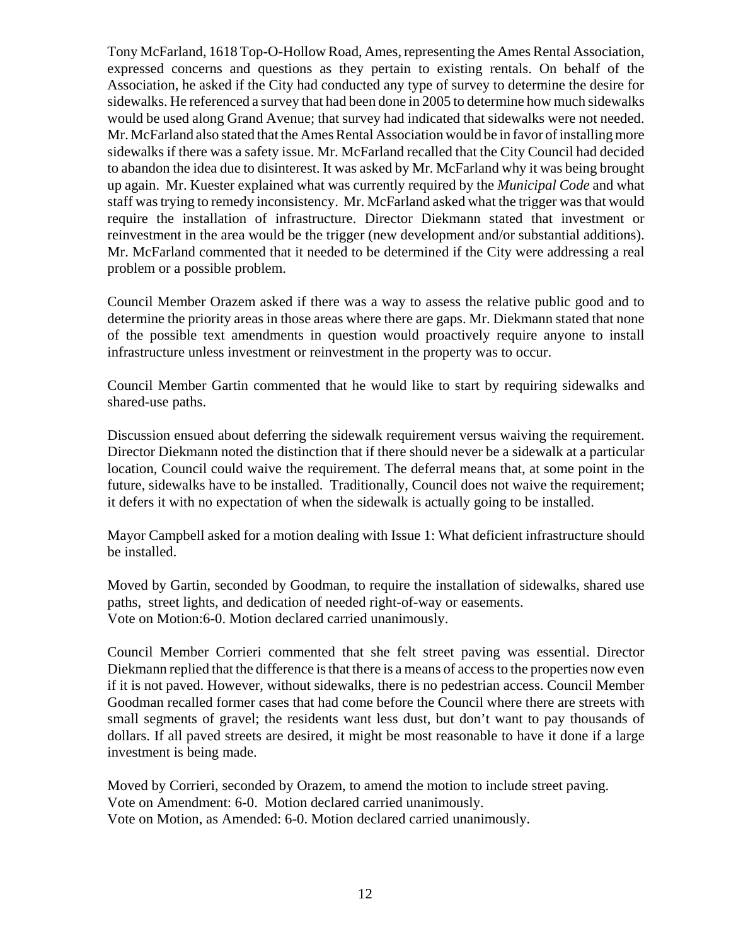Tony McFarland, 1618 Top-O-Hollow Road, Ames, representing the Ames Rental Association, expressed concerns and questions as they pertain to existing rentals. On behalf of the Association, he asked if the City had conducted any type of survey to determine the desire for sidewalks. He referenced a survey that had been done in 2005 to determine how much sidewalks would be used along Grand Avenue; that survey had indicated that sidewalks were not needed. Mr. McFarland also stated that the Ames Rental Association would be in favor of installing more sidewalks if there was a safety issue. Mr. McFarland recalled that the City Council had decided to abandon the idea due to disinterest. It was asked by Mr. McFarland why it was being brought up again. Mr. Kuester explained what was currently required by the *Municipal Code* and what staff was trying to remedy inconsistency. Mr. McFarland asked what the trigger was that would require the installation of infrastructure. Director Diekmann stated that investment or reinvestment in the area would be the trigger (new development and/or substantial additions). Mr. McFarland commented that it needed to be determined if the City were addressing a real problem or a possible problem.

Council Member Orazem asked if there was a way to assess the relative public good and to determine the priority areas in those areas where there are gaps. Mr. Diekmann stated that none of the possible text amendments in question would proactively require anyone to install infrastructure unless investment or reinvestment in the property was to occur.

Council Member Gartin commented that he would like to start by requiring sidewalks and shared-use paths.

Discussion ensued about deferring the sidewalk requirement versus waiving the requirement. Director Diekmann noted the distinction that if there should never be a sidewalk at a particular location, Council could waive the requirement. The deferral means that, at some point in the future, sidewalks have to be installed. Traditionally, Council does not waive the requirement; it defers it with no expectation of when the sidewalk is actually going to be installed.

Mayor Campbell asked for a motion dealing with Issue 1: What deficient infrastructure should be installed.

Moved by Gartin, seconded by Goodman, to require the installation of sidewalks, shared use paths, street lights, and dedication of needed right-of-way or easements. Vote on Motion:6-0. Motion declared carried unanimously.

Council Member Corrieri commented that she felt street paving was essential. Director Diekmann replied that the difference is that there is a means of access to the properties now even if it is not paved. However, without sidewalks, there is no pedestrian access. Council Member Goodman recalled former cases that had come before the Council where there are streets with small segments of gravel; the residents want less dust, but don't want to pay thousands of dollars. If all paved streets are desired, it might be most reasonable to have it done if a large investment is being made.

Moved by Corrieri, seconded by Orazem, to amend the motion to include street paving. Vote on Amendment: 6-0. Motion declared carried unanimously. Vote on Motion, as Amended: 6-0. Motion declared carried unanimously.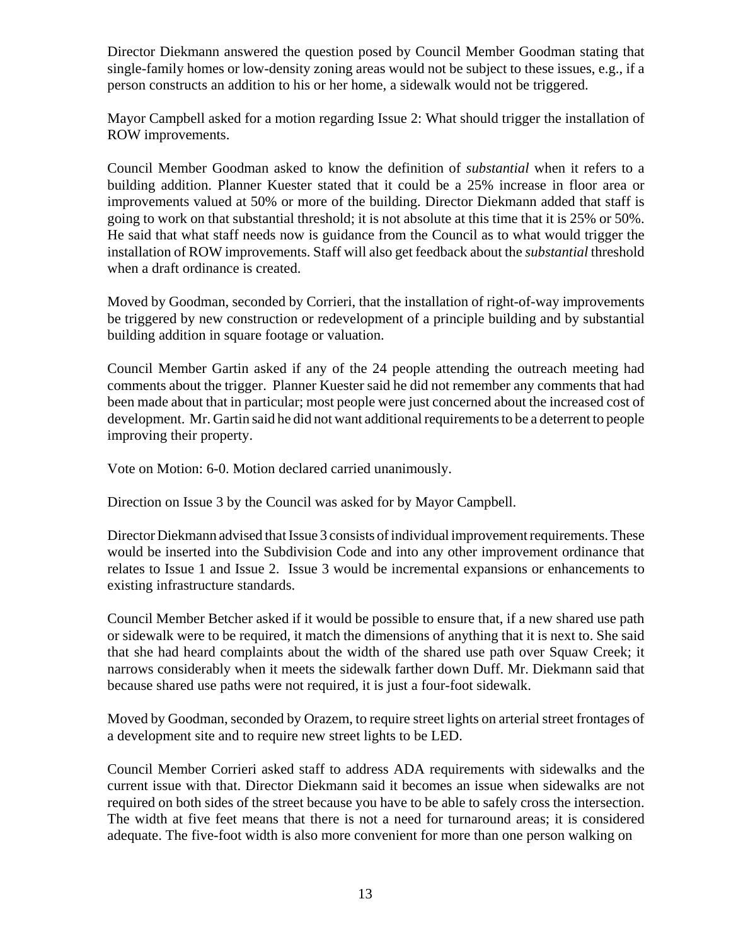Director Diekmann answered the question posed by Council Member Goodman stating that single-family homes or low-density zoning areas would not be subject to these issues, e.g., if a person constructs an addition to his or her home, a sidewalk would not be triggered.

Mayor Campbell asked for a motion regarding Issue 2: What should trigger the installation of ROW improvements.

Council Member Goodman asked to know the definition of *substantial* when it refers to a building addition. Planner Kuester stated that it could be a 25% increase in floor area or improvements valued at 50% or more of the building. Director Diekmann added that staff is going to work on that substantial threshold; it is not absolute at this time that it is 25% or 50%. He said that what staff needs now is guidance from the Council as to what would trigger the installation of ROW improvements. Staff will also get feedback about the *substantial* threshold when a draft ordinance is created.

Moved by Goodman, seconded by Corrieri, that the installation of right-of-way improvements be triggered by new construction or redevelopment of a principle building and by substantial building addition in square footage or valuation.

Council Member Gartin asked if any of the 24 people attending the outreach meeting had comments about the trigger. Planner Kuester said he did not remember any comments that had been made about that in particular; most people were just concerned about the increased cost of development. Mr. Gartin said he did not want additional requirements to be a deterrent to people improving their property.

Vote on Motion: 6-0. Motion declared carried unanimously.

Direction on Issue 3 by the Council was asked for by Mayor Campbell.

Director Diekmann advised that Issue 3 consists of individual improvement requirements. These would be inserted into the Subdivision Code and into any other improvement ordinance that relates to Issue 1 and Issue 2. Issue 3 would be incremental expansions or enhancements to existing infrastructure standards.

Council Member Betcher asked if it would be possible to ensure that, if a new shared use path or sidewalk were to be required, it match the dimensions of anything that it is next to. She said that she had heard complaints about the width of the shared use path over Squaw Creek; it narrows considerably when it meets the sidewalk farther down Duff. Mr. Diekmann said that because shared use paths were not required, it is just a four-foot sidewalk.

Moved by Goodman, seconded by Orazem, to require street lights on arterial street frontages of a development site and to require new street lights to be LED.

Council Member Corrieri asked staff to address ADA requirements with sidewalks and the current issue with that. Director Diekmann said it becomes an issue when sidewalks are not required on both sides of the street because you have to be able to safely cross the intersection. The width at five feet means that there is not a need for turnaround areas; it is considered adequate. The five-foot width is also more convenient for more than one person walking on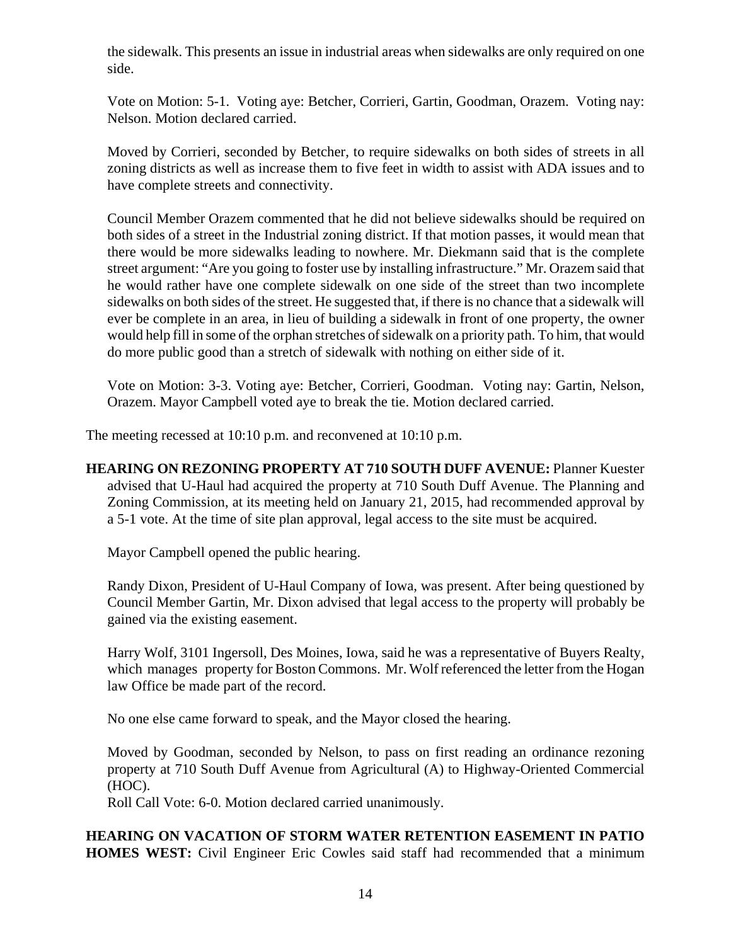the sidewalk. This presents an issue in industrial areas when sidewalks are only required on one side.

Vote on Motion: 5-1. Voting aye: Betcher, Corrieri, Gartin, Goodman, Orazem. Voting nay: Nelson. Motion declared carried.

Moved by Corrieri, seconded by Betcher, to require sidewalks on both sides of streets in all zoning districts as well as increase them to five feet in width to assist with ADA issues and to have complete streets and connectivity.

Council Member Orazem commented that he did not believe sidewalks should be required on both sides of a street in the Industrial zoning district. If that motion passes, it would mean that there would be more sidewalks leading to nowhere. Mr. Diekmann said that is the complete street argument: "Are you going to foster use by installing infrastructure." Mr. Orazem said that he would rather have one complete sidewalk on one side of the street than two incomplete sidewalks on both sides of the street. He suggested that, if there is no chance that a sidewalk will ever be complete in an area, in lieu of building a sidewalk in front of one property, the owner would help fill in some of the orphan stretches of sidewalk on a priority path. To him, that would do more public good than a stretch of sidewalk with nothing on either side of it.

Vote on Motion: 3-3. Voting aye: Betcher, Corrieri, Goodman. Voting nay: Gartin, Nelson, Orazem. Mayor Campbell voted aye to break the tie. Motion declared carried.

The meeting recessed at 10:10 p.m. and reconvened at 10:10 p.m.

**HEARING ON REZONING PROPERTY AT 710 SOUTH DUFF AVENUE:** Planner Kuester advised that U-Haul had acquired the property at 710 South Duff Avenue. The Planning and Zoning Commission, at its meeting held on January 21, 2015, had recommended approval by a 5-1 vote. At the time of site plan approval, legal access to the site must be acquired.

Mayor Campbell opened the public hearing.

Randy Dixon, President of U-Haul Company of Iowa, was present. After being questioned by Council Member Gartin, Mr. Dixon advised that legal access to the property will probably be gained via the existing easement.

Harry Wolf, 3101 Ingersoll, Des Moines, Iowa, said he was a representative of Buyers Realty, which manages property for Boston Commons. Mr. Wolf referenced the letter from the Hogan law Office be made part of the record.

No one else came forward to speak, and the Mayor closed the hearing.

Moved by Goodman, seconded by Nelson, to pass on first reading an ordinance rezoning property at 710 South Duff Avenue from Agricultural (A) to Highway-Oriented Commercial (HOC).

Roll Call Vote: 6-0. Motion declared carried unanimously.

**HEARING ON VACATION OF STORM WATER RETENTION EASEMENT IN PATIO HOMES WEST:** Civil Engineer Eric Cowles said staff had recommended that a minimum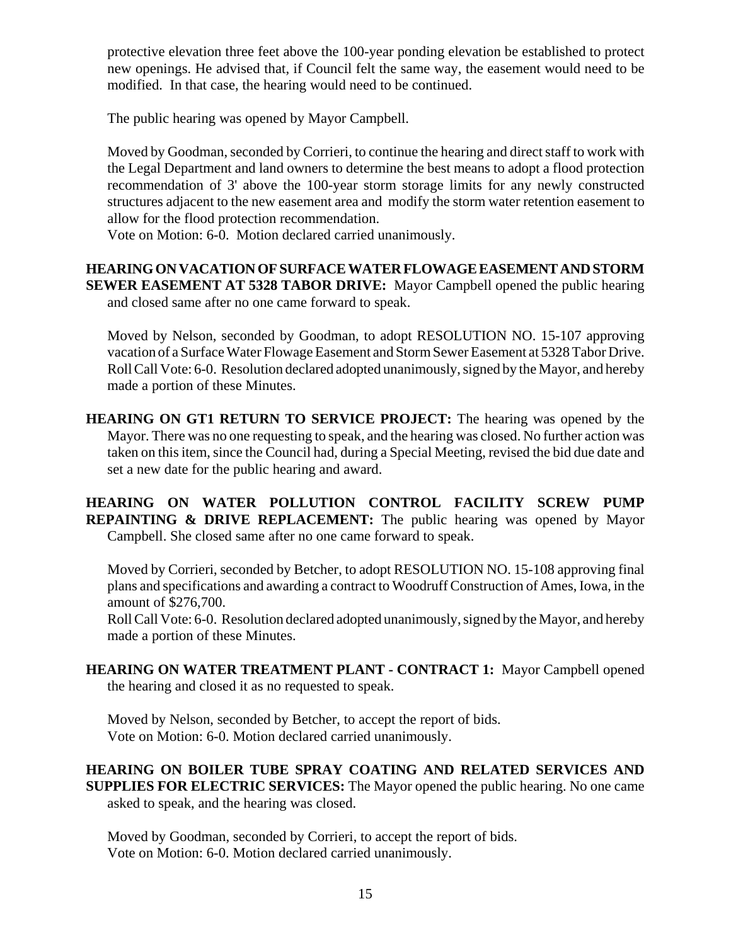protective elevation three feet above the 100-year ponding elevation be established to protect new openings. He advised that, if Council felt the same way, the easement would need to be modified. In that case, the hearing would need to be continued.

The public hearing was opened by Mayor Campbell.

Moved by Goodman, seconded by Corrieri, to continue the hearing and direct staff to work with the Legal Department and land owners to determine the best means to adopt a flood protection recommendation of 3' above the 100-year storm storage limits for any newly constructed structures adjacent to the new easement area and modify the storm water retention easement to allow for the flood protection recommendation.

Vote on Motion: 6-0. Motion declared carried unanimously.

**HEARING ON VACATION OF SURFACE WATER FLOWAGE EASEMENT AND STORM SEWER EASEMENT AT 5328 TABOR DRIVE:** Mayor Campbell opened the public hearing and closed same after no one came forward to speak.

Moved by Nelson, seconded by Goodman, to adopt RESOLUTION NO. 15-107 approving vacation of a Surface Water Flowage Easement and Storm Sewer Easement at 5328 Tabor Drive. Roll Call Vote: 6-0. Resolution declared adopted unanimously, signed by the Mayor, and hereby made a portion of these Minutes.

**HEARING ON GT1 RETURN TO SERVICE PROJECT:** The hearing was opened by the Mayor. There was no one requesting to speak, and the hearing was closed. No further action was taken on this item, since the Council had, during a Special Meeting, revised the bid due date and set a new date for the public hearing and award.

**HEARING ON WATER POLLUTION CONTROL FACILITY SCREW PUMP REPAINTING & DRIVE REPLACEMENT:** The public hearing was opened by Mayor Campbell. She closed same after no one came forward to speak.

Moved by Corrieri, seconded by Betcher, to adopt RESOLUTION NO. 15-108 approving final plans and specifications and awarding a contract to Woodruff Construction of Ames, Iowa, in the amount of \$276,700.

Roll Call Vote: 6-0. Resolution declared adopted unanimously, signed by the Mayor, and hereby made a portion of these Minutes.

**HEARING ON WATER TREATMENT PLANT - CONTRACT 1:** Mayor Campbell opened the hearing and closed it as no requested to speak.

Moved by Nelson, seconded by Betcher, to accept the report of bids. Vote on Motion: 6-0. Motion declared carried unanimously.

#### **HEARING ON BOILER TUBE SPRAY COATING AND RELATED SERVICES AND SUPPLIES FOR ELECTRIC SERVICES:** The Mayor opened the public hearing. No one came asked to speak, and the hearing was closed.

Moved by Goodman, seconded by Corrieri, to accept the report of bids. Vote on Motion: 6-0. Motion declared carried unanimously.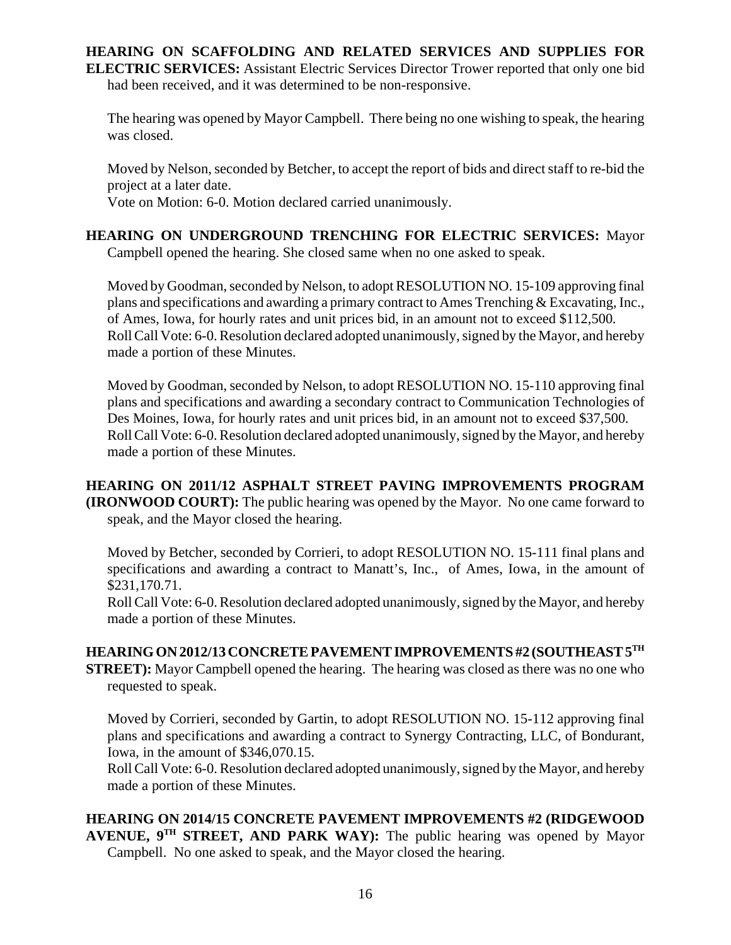#### **HEARING ON SCAFFOLDING AND RELATED SERVICES AND SUPPLIES FOR ELECTRIC SERVICES:** Assistant Electric Services Director Trower reported that only one bid had been received, and it was determined to be non-responsive.

The hearing was opened by Mayor Campbell. There being no one wishing to speak, the hearing was closed.

Moved by Nelson, seconded by Betcher, to accept the report of bids and direct staff to re-bid the project at a later date.

Vote on Motion: 6-0. Motion declared carried unanimously.

# **HEARING ON UNDERGROUND TRENCHING FOR ELECTRIC SERVICES:** Mayor Campbell opened the hearing. She closed same when no one asked to speak.

Moved by Goodman, seconded by Nelson, to adopt RESOLUTION NO. 15-109 approving final plans and specifications and awarding a primary contract to Ames Trenching & Excavating, Inc., of Ames, Iowa, for hourly rates and unit prices bid, in an amount not to exceed \$112,500. Roll Call Vote: 6-0. Resolution declared adopted unanimously, signed by the Mayor, and hereby made a portion of these Minutes.

Moved by Goodman, seconded by Nelson, to adopt RESOLUTION NO. 15-110 approving final plans and specifications and awarding a secondary contract to Communication Technologies of Des Moines, Iowa, for hourly rates and unit prices bid, in an amount not to exceed \$37,500. Roll Call Vote: 6-0. Resolution declared adopted unanimously, signed by the Mayor, and hereby made a portion of these Minutes.

## **HEARING ON 2011/12 ASPHALT STREET PAVING IMPROVEMENTS PROGRAM (IRONWOOD COURT):** The public hearing was opened by the Mayor. No one came forward to speak, and the Mayor closed the hearing.

Moved by Betcher, seconded by Corrieri, to adopt RESOLUTION NO. 15-111 final plans and specifications and awarding a contract to Manatt's, Inc., of Ames, Iowa, in the amount of \$231,170.71.

Roll Call Vote: 6-0. Resolution declared adopted unanimously, signed by the Mayor, and hereby made a portion of these Minutes.

# **HEARING ON 2012/13 CONCRETE PAVEMENT IMPROVEMENTS #2 (SOUTHEAST 5TH**

**STREET):** Mayor Campbell opened the hearing. The hearing was closed as there was no one who requested to speak.

Moved by Corrieri, seconded by Gartin, to adopt RESOLUTION NO. 15-112 approving final plans and specifications and awarding a contract to Synergy Contracting, LLC, of Bondurant, Iowa, in the amount of \$346,070.15.

Roll Call Vote: 6-0. Resolution declared adopted unanimously, signed by the Mayor, and hereby made a portion of these Minutes.

# **HEARING ON 2014/15 CONCRETE PAVEMENT IMPROVEMENTS #2 (RIDGEWOOD**

**AVENUE, 9TH STREET, AND PARK WAY):** The public hearing was opened by Mayor Campbell. No one asked to speak, and the Mayor closed the hearing.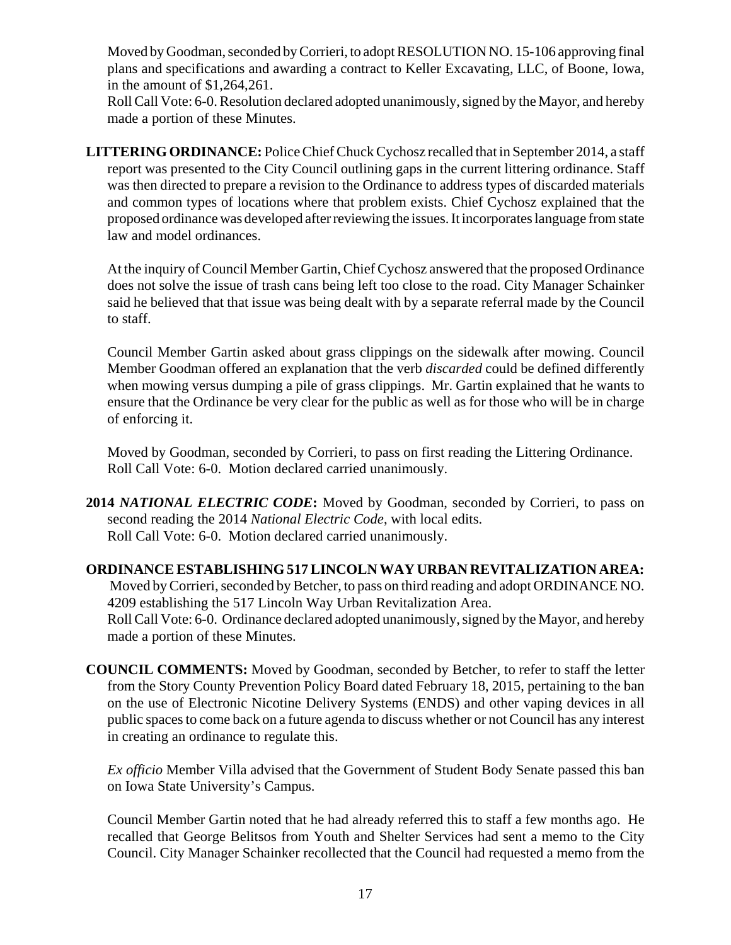Moved by Goodman, seconded by Corrieri, to adopt RESOLUTION NO. 15-106 approving final plans and specifications and awarding a contract to Keller Excavating, LLC, of Boone, Iowa, in the amount of \$1,264,261.

Roll Call Vote: 6-0. Resolution declared adopted unanimously, signed by the Mayor, and hereby made a portion of these Minutes.

**LITTERING ORDINANCE:** Police Chief Chuck Cychosz recalled that in September 2014, a staff report was presented to the City Council outlining gaps in the current littering ordinance. Staff was then directed to prepare a revision to the Ordinance to address types of discarded materials and common types of locations where that problem exists. Chief Cychosz explained that the proposed ordinance was developed after reviewing the issues. It incorporates language from state law and model ordinances.

At the inquiry of Council Member Gartin, Chief Cychosz answered that the proposed Ordinance does not solve the issue of trash cans being left too close to the road. City Manager Schainker said he believed that that issue was being dealt with by a separate referral made by the Council to staff.

Council Member Gartin asked about grass clippings on the sidewalk after mowing. Council Member Goodman offered an explanation that the verb *discarded* could be defined differently when mowing versus dumping a pile of grass clippings. Mr. Gartin explained that he wants to ensure that the Ordinance be very clear for the public as well as for those who will be in charge of enforcing it.

Moved by Goodman, seconded by Corrieri, to pass on first reading the Littering Ordinance. Roll Call Vote: 6-0. Motion declared carried unanimously.

**2014** *NATIONAL ELECTRIC CODE***:** Moved by Goodman, seconded by Corrieri, to pass on second reading the 2014 *National Electric Code*, with local edits. Roll Call Vote: 6-0. Motion declared carried unanimously.

**ORDINANCE ESTABLISHING 517 LINCOLN WAY URBAN REVITALIZATION AREA:** Moved by Corrieri, seconded by Betcher, to pass on third reading and adopt ORDINANCE NO. 4209 establishing the 517 Lincoln Way Urban Revitalization Area. Roll Call Vote: 6-0. Ordinance declared adopted unanimously, signed by the Mayor, and hereby made a portion of these Minutes.

**COUNCIL COMMENTS:** Moved by Goodman, seconded by Betcher, to refer to staff the letter from the Story County Prevention Policy Board dated February 18, 2015, pertaining to the ban on the use of Electronic Nicotine Delivery Systems (ENDS) and other vaping devices in all public spaces to come back on a future agenda to discuss whether or not Council has any interest in creating an ordinance to regulate this.

*Ex officio* Member Villa advised that the Government of Student Body Senate passed this ban on Iowa State University's Campus.

Council Member Gartin noted that he had already referred this to staff a few months ago. He recalled that George Belitsos from Youth and Shelter Services had sent a memo to the City Council. City Manager Schainker recollected that the Council had requested a memo from the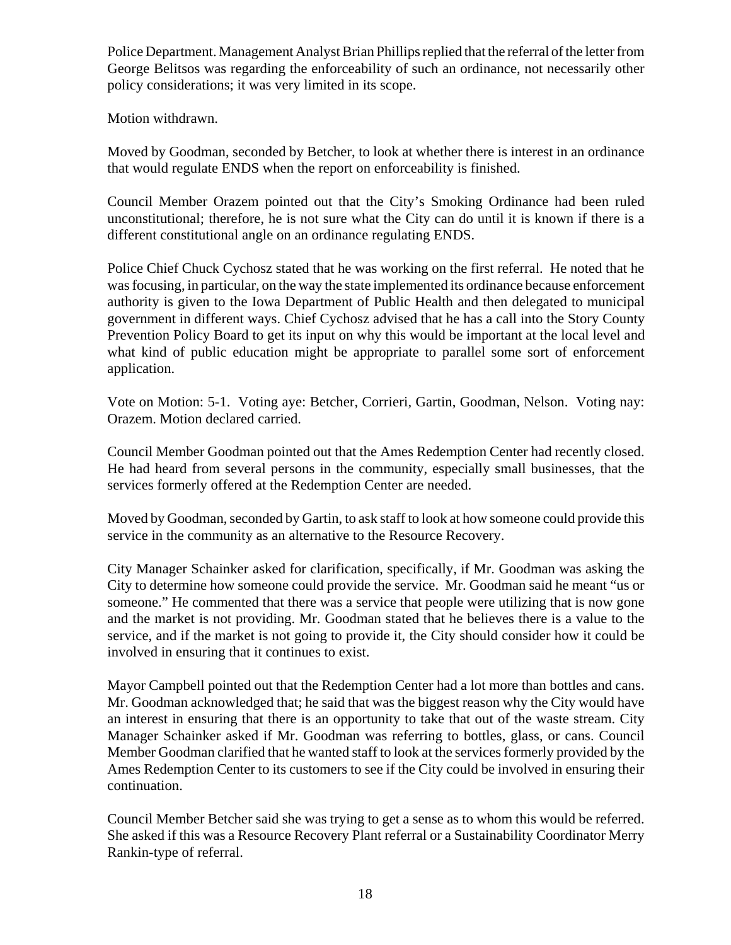Police Department. Management Analyst Brian Phillips replied that the referral of the letter from George Belitsos was regarding the enforceability of such an ordinance, not necessarily other policy considerations; it was very limited in its scope.

Motion withdrawn.

Moved by Goodman, seconded by Betcher, to look at whether there is interest in an ordinance that would regulate ENDS when the report on enforceability is finished.

Council Member Orazem pointed out that the City's Smoking Ordinance had been ruled unconstitutional; therefore, he is not sure what the City can do until it is known if there is a different constitutional angle on an ordinance regulating ENDS.

Police Chief Chuck Cychosz stated that he was working on the first referral. He noted that he was focusing, in particular, on the way the state implemented its ordinance because enforcement authority is given to the Iowa Department of Public Health and then delegated to municipal government in different ways. Chief Cychosz advised that he has a call into the Story County Prevention Policy Board to get its input on why this would be important at the local level and what kind of public education might be appropriate to parallel some sort of enforcement application.

Vote on Motion: 5-1. Voting aye: Betcher, Corrieri, Gartin, Goodman, Nelson. Voting nay: Orazem. Motion declared carried.

Council Member Goodman pointed out that the Ames Redemption Center had recently closed. He had heard from several persons in the community, especially small businesses, that the services formerly offered at the Redemption Center are needed.

Moved by Goodman, seconded by Gartin, to ask staff to look at how someone could provide this service in the community as an alternative to the Resource Recovery.

City Manager Schainker asked for clarification, specifically, if Mr. Goodman was asking the City to determine how someone could provide the service. Mr. Goodman said he meant "us or someone." He commented that there was a service that people were utilizing that is now gone and the market is not providing. Mr. Goodman stated that he believes there is a value to the service, and if the market is not going to provide it, the City should consider how it could be involved in ensuring that it continues to exist.

Mayor Campbell pointed out that the Redemption Center had a lot more than bottles and cans. Mr. Goodman acknowledged that; he said that was the biggest reason why the City would have an interest in ensuring that there is an opportunity to take that out of the waste stream. City Manager Schainker asked if Mr. Goodman was referring to bottles, glass, or cans. Council Member Goodman clarified that he wanted staff to look at the services formerly provided by the Ames Redemption Center to its customers to see if the City could be involved in ensuring their continuation.

Council Member Betcher said she was trying to get a sense as to whom this would be referred. She asked if this was a Resource Recovery Plant referral or a Sustainability Coordinator Merry Rankin-type of referral.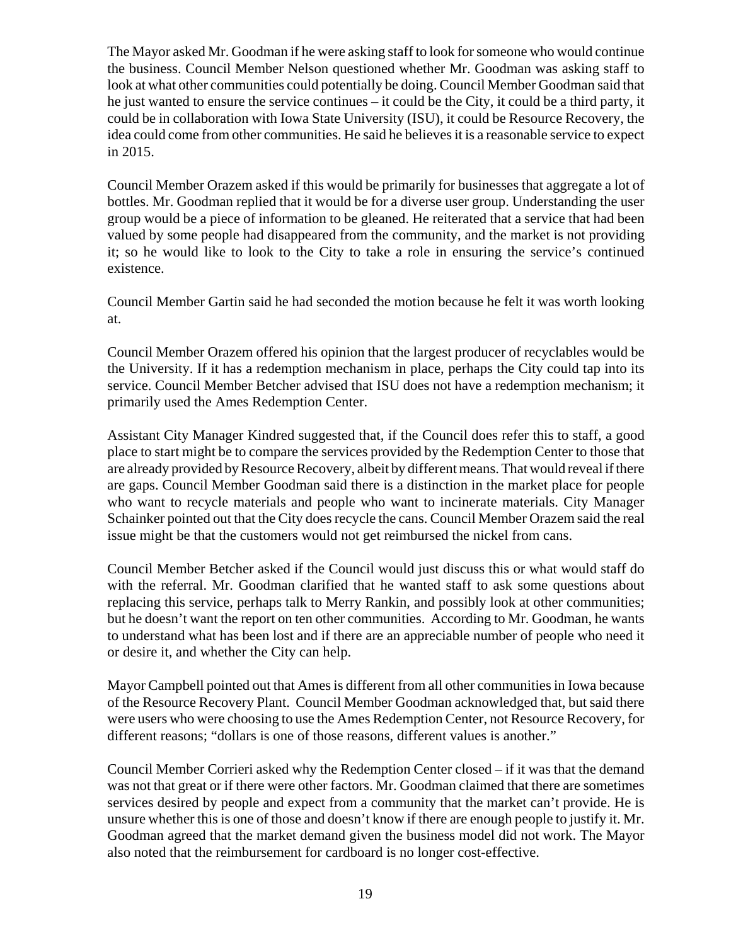The Mayor asked Mr. Goodman if he were asking staff to look for someone who would continue the business. Council Member Nelson questioned whether Mr. Goodman was asking staff to look at what other communities could potentially be doing. Council Member Goodman said that he just wanted to ensure the service continues – it could be the City, it could be a third party, it could be in collaboration with Iowa State University (ISU), it could be Resource Recovery, the idea could come from other communities. He said he believes it is a reasonable service to expect in 2015.

Council Member Orazem asked if this would be primarily for businesses that aggregate a lot of bottles. Mr. Goodman replied that it would be for a diverse user group. Understanding the user group would be a piece of information to be gleaned. He reiterated that a service that had been valued by some people had disappeared from the community, and the market is not providing it; so he would like to look to the City to take a role in ensuring the service's continued existence.

Council Member Gartin said he had seconded the motion because he felt it was worth looking at.

Council Member Orazem offered his opinion that the largest producer of recyclables would be the University. If it has a redemption mechanism in place, perhaps the City could tap into its service. Council Member Betcher advised that ISU does not have a redemption mechanism; it primarily used the Ames Redemption Center.

Assistant City Manager Kindred suggested that, if the Council does refer this to staff, a good place to start might be to compare the services provided by the Redemption Center to those that are already provided by Resource Recovery, albeit by different means. That would reveal if there are gaps. Council Member Goodman said there is a distinction in the market place for people who want to recycle materials and people who want to incinerate materials. City Manager Schainker pointed out that the City does recycle the cans. Council Member Orazem said the real issue might be that the customers would not get reimbursed the nickel from cans.

Council Member Betcher asked if the Council would just discuss this or what would staff do with the referral. Mr. Goodman clarified that he wanted staff to ask some questions about replacing this service, perhaps talk to Merry Rankin, and possibly look at other communities; but he doesn't want the report on ten other communities. According to Mr. Goodman, he wants to understand what has been lost and if there are an appreciable number of people who need it or desire it, and whether the City can help.

Mayor Campbell pointed out that Ames is different from all other communities in Iowa because of the Resource Recovery Plant. Council Member Goodman acknowledged that, but said there were users who were choosing to use the Ames Redemption Center, not Resource Recovery, for different reasons; "dollars is one of those reasons, different values is another."

Council Member Corrieri asked why the Redemption Center closed – if it was that the demand was not that great or if there were other factors. Mr. Goodman claimed that there are sometimes services desired by people and expect from a community that the market can't provide. He is unsure whether this is one of those and doesn't know if there are enough people to justify it. Mr. Goodman agreed that the market demand given the business model did not work. The Mayor also noted that the reimbursement for cardboard is no longer cost-effective.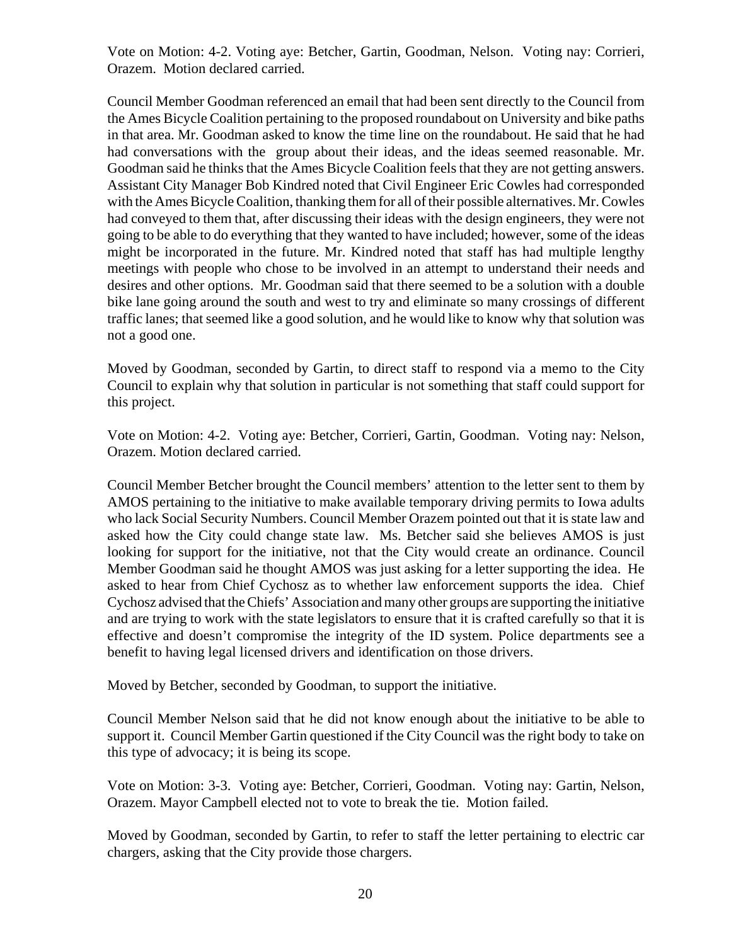Vote on Motion: 4-2. Voting aye: Betcher, Gartin, Goodman, Nelson. Voting nay: Corrieri, Orazem. Motion declared carried.

Council Member Goodman referenced an email that had been sent directly to the Council from the Ames Bicycle Coalition pertaining to the proposed roundabout on University and bike paths in that area. Mr. Goodman asked to know the time line on the roundabout. He said that he had had conversations with the group about their ideas, and the ideas seemed reasonable. Mr. Goodman said he thinks that the Ames Bicycle Coalition feels that they are not getting answers. Assistant City Manager Bob Kindred noted that Civil Engineer Eric Cowles had corresponded with the Ames Bicycle Coalition, thanking them for all of their possible alternatives. Mr. Cowles had conveyed to them that, after discussing their ideas with the design engineers, they were not going to be able to do everything that they wanted to have included; however, some of the ideas might be incorporated in the future. Mr. Kindred noted that staff has had multiple lengthy meetings with people who chose to be involved in an attempt to understand their needs and desires and other options. Mr. Goodman said that there seemed to be a solution with a double bike lane going around the south and west to try and eliminate so many crossings of different traffic lanes; that seemed like a good solution, and he would like to know why that solution was not a good one.

Moved by Goodman, seconded by Gartin, to direct staff to respond via a memo to the City Council to explain why that solution in particular is not something that staff could support for this project.

Vote on Motion: 4-2. Voting aye: Betcher, Corrieri, Gartin, Goodman. Voting nay: Nelson, Orazem. Motion declared carried.

Council Member Betcher brought the Council members' attention to the letter sent to them by AMOS pertaining to the initiative to make available temporary driving permits to Iowa adults who lack Social Security Numbers. Council Member Orazem pointed out that it is state law and asked how the City could change state law. Ms. Betcher said she believes AMOS is just looking for support for the initiative, not that the City would create an ordinance. Council Member Goodman said he thought AMOS was just asking for a letter supporting the idea. He asked to hear from Chief Cychosz as to whether law enforcement supports the idea. Chief Cychosz advised that the Chiefs' Association and many other groups are supporting the initiative and are trying to work with the state legislators to ensure that it is crafted carefully so that it is effective and doesn't compromise the integrity of the ID system. Police departments see a benefit to having legal licensed drivers and identification on those drivers.

Moved by Betcher, seconded by Goodman, to support the initiative.

Council Member Nelson said that he did not know enough about the initiative to be able to support it. Council Member Gartin questioned if the City Council was the right body to take on this type of advocacy; it is being its scope.

Vote on Motion: 3-3. Voting aye: Betcher, Corrieri, Goodman. Voting nay: Gartin, Nelson, Orazem. Mayor Campbell elected not to vote to break the tie. Motion failed.

Moved by Goodman, seconded by Gartin, to refer to staff the letter pertaining to electric car chargers, asking that the City provide those chargers.